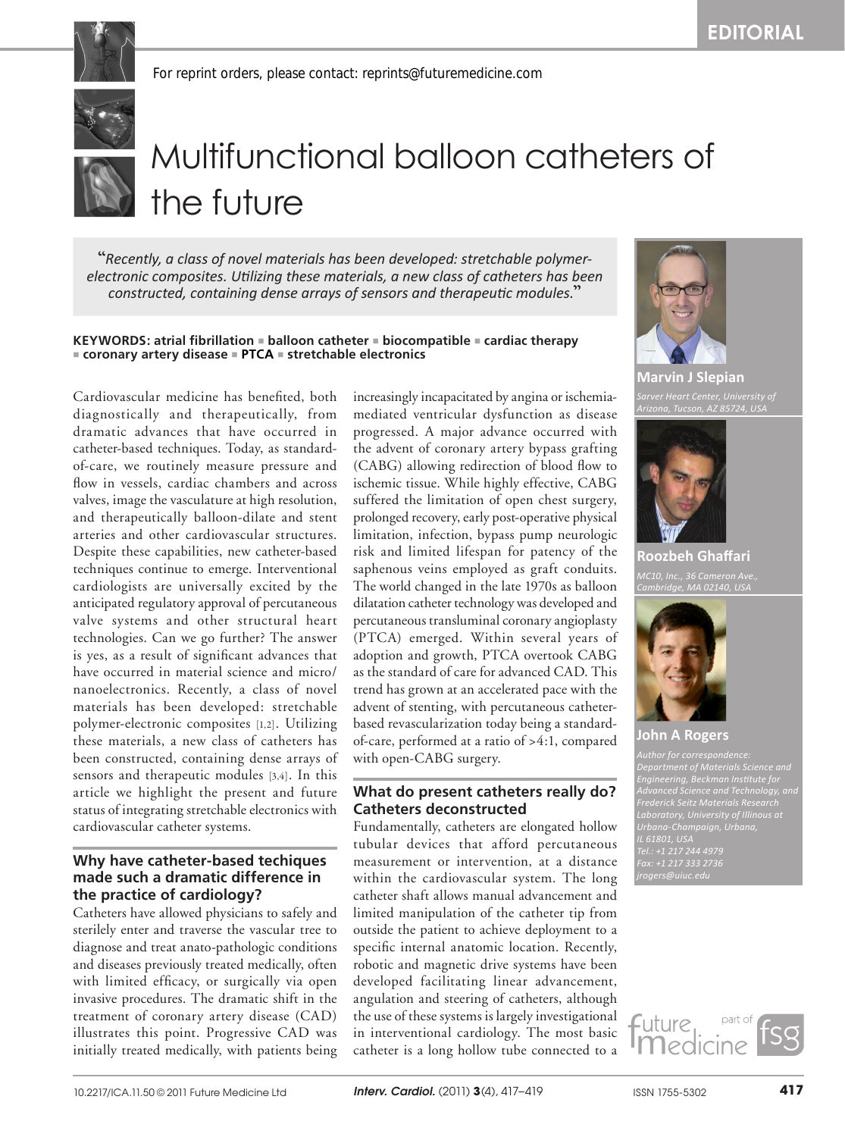

*For reprint orders, please contact: reprints@futuremedicine.com*



# Multifunctional balloon catheters of the future

**"***Recently, a class of novel materials has been developed: stretchable polymerelectronic composites. Utilizing these materials, a new class of catheters has been constructed, containing dense arrays of sensors and therapeutic modules.***"**

#### **KEYWORDS: atrial fibrillation** <sup>n</sup> **balloon catheter** <sup>n</sup> **biocompatible** <sup>n</sup> **cardiac therapy**  <sup>n</sup> **coronary artery disease** <sup>n</sup> **PTCA** <sup>n</sup> **stretchable electronics**

Cardiovascular medicine has benefited, both diagnostically and therapeutically, from dramatic advances that have occurred in catheter-based techniques. Today, as standardof-care, we routinely measure pressure and flow in vessels, cardiac chambers and across valves, image the vasculature at high resolution, and therapeutically balloon-dilate and stent arteries and other cardiovascular structures. Despite these capabilities, new catheter-based techniques continue to emerge. Interventional cardiologists are universally excited by the anticipated regulatory approval of percutaneous valve systems and other structural heart technologies. Can we go further? The answer is yes, as a result of significant advances that have occurred in material science and micro/ nanoelectronics. Recently, a class of novel materials has been developed: stretchable polymer-electronic composites [1,2]. Utilizing these materials, a new class of catheters has been constructed, containing dense arrays of sensors and therapeutic modules [3,4]. In this article we highlight the present and future status of integrating stretchable electronics with cardiovascular catheter systems.

# **Why have catheter-based techiques made such a dramatic difference in the practice of cardiology?**

Catheters have allowed physicians to safely and sterilely enter and traverse the vascular tree to diagnose and treat anato-pathologic conditions and diseases previously treated medically, often with limited efficacy, or surgically via open invasive procedures. The dramatic shift in the treatment of coronary artery disease (CAD) illustrates this point. Progressive CAD was initially treated medically, with patients being increasingly incapacitated by angina or ischemiamediated ventricular dysfunction as disease progressed. A major advance occurred with the advent of coronary artery bypass grafting (CABG) allowing redirection of blood flow to ischemic tissue. While highly effective, CABG suffered the limitation of open chest surgery, prolonged recovery, early post-operative physical limitation, infection, bypass pump neurologic risk and limited lifespan for patency of the saphenous veins employed as graft conduits. The world changed in the late 1970s as balloon dilatation catheter technology was developed and percutaneous transluminal coronary angioplasty (PTCA) emerged. Within several years of adoption and growth, PTCA overtook CABG as the standard of care for advanced CAD. This trend has grown at an accelerated pace with the advent of stenting, with percutaneous catheterbased revascularization today being a standardof-care, performed at a ratio of >4:1, compared with open-CABG surgery.

# **What do present catheters really do? Catheters deconstructed**

Fundamentally, catheters are elongated hollow tubular devices that afford percutaneous measurement or intervention, at a distance within the cardiovascular system. The long catheter shaft allows manual advancement and limited manipulation of the catheter tip from outside the patient to achieve deployment to a specific internal anatomic location. Recently, robotic and magnetic drive systems have been developed facilitating linear advancement, angulation and steering of catheters, although the use of these systems is largely investigational in interventional cardiology. The most basic catheter is a long hollow tube connected to a



**Marvin J Slepian** 



**Roozbeh Ghaffari** *MC10, Inc., 36 Cameron Ave., Cambridge, MA 02140, USA*



**John A Rogers**

*Engineering, Beckman Institute for IL 61801, USA jrogers@uiuc.edu*

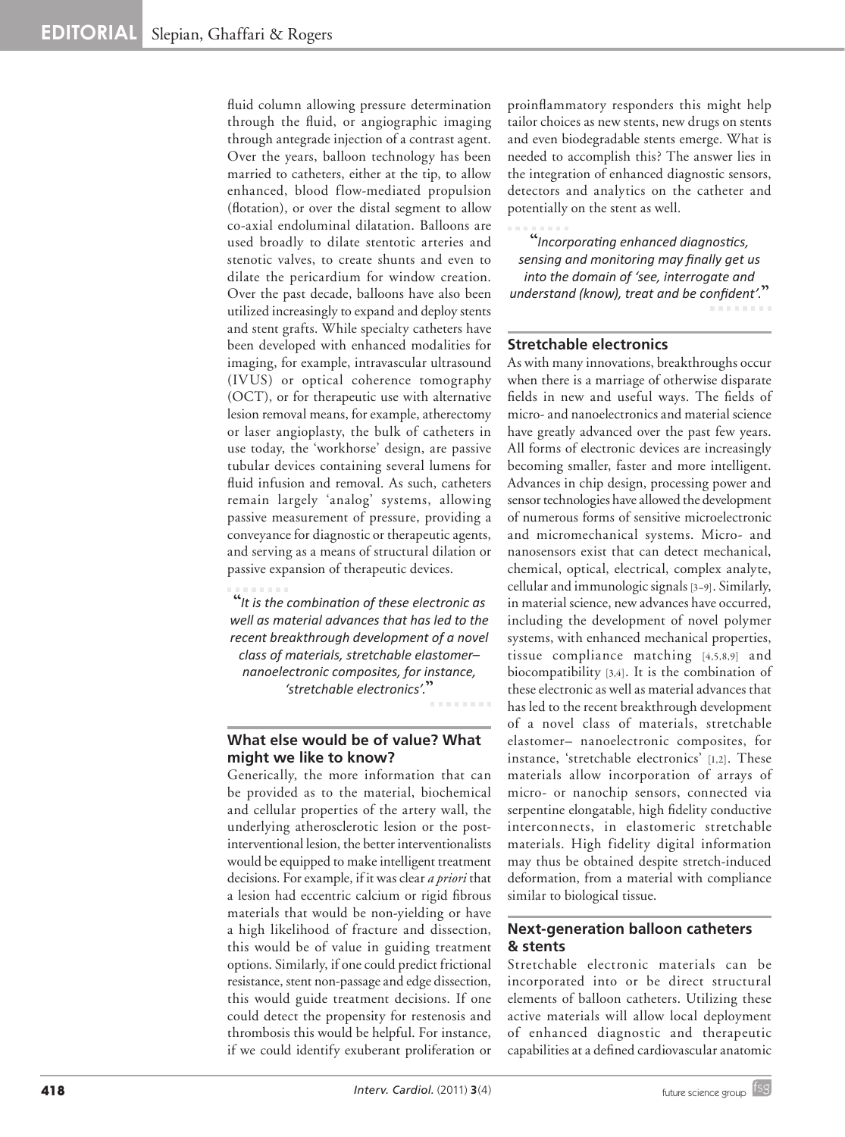fluid column allowing pressure determination through the fluid, or angiographic imaging through antegrade injection of a contrast agent. Over the years, balloon technology has been married to catheters, either at the tip, to allow enhanced, blood flow-mediated propulsion (flotation), or over the distal segment to allow co-axial endoluminal dilatation. Balloons are used broadly to dilate stentotic arteries and stenotic valves, to create shunts and even to dilate the pericardium for window creation. Over the past decade, balloons have also been utilized increasingly to expand and deploy stents and stent grafts. While specialty catheters have been developed with enhanced modalities for imaging, for example, intravascular ultrasound (IVUS) or optical coherence tomography (OCT), or for therapeutic use with alternative lesion removal means, for example, atherectomy or laser angioplasty, the bulk of catheters in use today, the 'workhorse' design, are passive tubular devices containing several lumens for fluid infusion and removal. As such, catheters remain largely 'analog' systems, allowing passive measurement of pressure, providing a conveyance for diagnostic or therapeutic agents, and serving as a means of structural dilation or passive expansion of therapeutic devices.

**"***It is the combination of these electronic as well as material advances that has led to the recent breakthrough development of a novel class of materials, stretchable elastomer– nanoelectronic composites, for instance, 'stretchable electronics'.***"**

**Contractor** 

## **What else would be of value? What might we like to know?**

Generically, the more information that can be provided as to the material, biochemical and cellular properties of the artery wall, the underlying atherosclerotic lesion or the postinterventional lesion, the better interventionalists would be equipped to make intelligent treatment decisions. For example, if it was clear *a priori* that a lesion had eccentric calcium or rigid fibrous materials that would be non-yielding or have a high likelihood of fracture and dissection, this would be of value in guiding treatment options. Similarly, if one could predict frictional resistance, stent non-passage and edge dissection, this would guide treatment decisions. If one could detect the propensity for restenosis and thrombosis this would be helpful. For instance, if we could identify exuberant proliferation or proinflammatory responders this might help tailor choices as new stents, new drugs on stents and even biodegradable stents emerge. What is needed to accomplish this? The answer lies in the integration of enhanced diagnostic sensors, detectors and analytics on the catheter and potentially on the stent as well.

**"***Incorporating enhanced diagnostics, sensing and monitoring may finally get us into the domain of 'see, interrogate and understand (know), treat and be confident'.***"**

#### **Stretchable electronics**

As with many innovations, breakthroughs occur when there is a marriage of otherwise disparate fields in new and useful ways. The fields of micro- and nanoelectronics and material science have greatly advanced over the past few years. All forms of electronic devices are increasingly becoming smaller, faster and more intelligent. Advances in chip design, processing power and sensor technologies have allowed the development of numerous forms of sensitive microelectronic and micromechanical systems. Micro- and nanosensors exist that can detect mechanical, chemical, optical, electrical, complex analyte, cellular and immunologic signals [3–9]. Similarly, in material science, new advances have occurred, including the development of novel polymer systems, with enhanced mechanical properties, tissue compliance matching [4,5,8,9] and biocompatibility [3,4]. It is the combination of these electronic as well as material advances that has led to the recent breakthrough development of a novel class of materials, stretchable elastomer– nanoelectronic composites, for instance, 'stretchable electronics' [1,2]. These materials allow incorporation of arrays of micro- or nanochip sensors, connected via serpentine elongatable, high fidelity conductive interconnects, in elastomeric stretchable materials. High fidelity digital information may thus be obtained despite stretch-induced deformation, from a material with compliance similar to biological tissue.

## **Next-generation balloon catheters & stents**

Stretchable electronic materials can be incorporated into or be direct structural elements of balloon catheters. Utilizing these active materials will allow local deployment of enhanced diagnostic and therapeutic capabilities at a defined cardiovascular anatomic